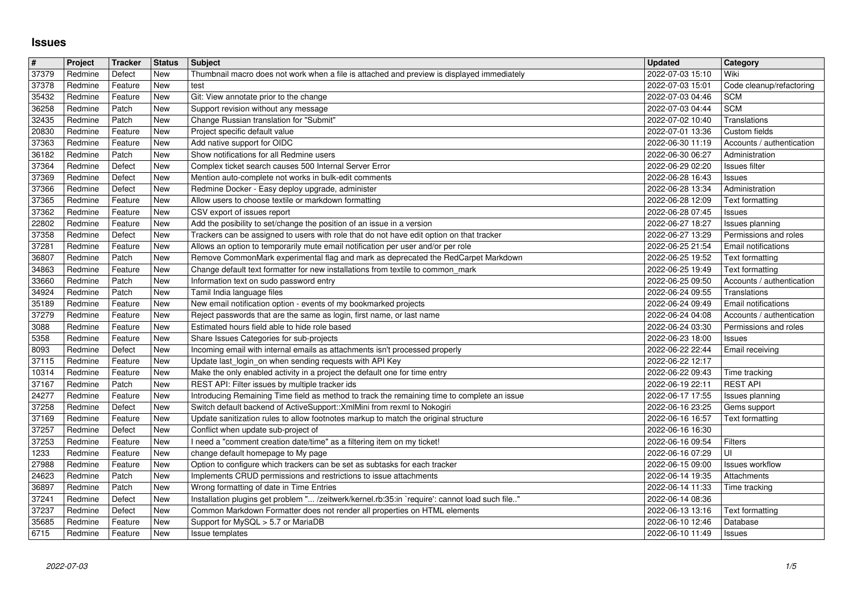## **Issues**

| #<br>37379     | Project<br>Redmine | Tracker<br>Defect  | <b>Status</b><br>New | <b>Subject</b><br>Thumbnail macro does not work when a file is attached and preview is displayed immediately                                                            | <b>Updated</b><br>2022-07-03 15:10   | Category<br>Wiki                                   |
|----------------|--------------------|--------------------|----------------------|-------------------------------------------------------------------------------------------------------------------------------------------------------------------------|--------------------------------------|----------------------------------------------------|
| 37378          | Redmine            | Feature            | New                  | test                                                                                                                                                                    | 2022-07-03 15:01                     | Code cleanup/refactoring                           |
| 35432<br>36258 | Redmine<br>Redmine | Feature<br>Patch   | New<br>New           | Git: View annotate prior to the change<br>Support revision without any message                                                                                          | 2022-07-03 04:46<br>2022-07-03 04:44 | <b>SCM</b><br><b>SCM</b>                           |
| 32435          | Redmine            | Patch              | New                  | Change Russian translation for "Submit"                                                                                                                                 | 2022-07-02 10:40                     | Translations                                       |
| 20830<br>37363 | Redmine<br>Redmine | Feature<br>Feature | New<br>New           | Project specific default value<br>Add native support for OIDC                                                                                                           | 2022-07-01 13:36<br>2022-06-30 11:19 | Custom fields<br>Accounts / authentication         |
| 36182<br>37364 | Redmine<br>Redmine | Patch<br>Defect    | New<br>New           | Show notifications for all Redmine users<br>Complex ticket search causes 500 Internal Server Error                                                                      | 2022-06-30 06:27<br>2022-06-29 02:20 | Administration<br>Issues filter                    |
| 37369          | Redmine            | Defect             | New                  | Mention auto-complete not works in bulk-edit comments                                                                                                                   | 2022-06-28 16:43                     | <b>Issues</b>                                      |
| 37366<br>37365 | Redmine<br>Redmine | Defect<br>Feature  | New<br>New           | Redmine Docker - Easy deploy upgrade, administer<br>Allow users to choose textile or markdown formatting                                                                | 2022-06-28 13:34<br>2022-06-28 12:09 | Administration<br>Text formatting                  |
| 37362          | Redmine            | Feature            | New                  | CSV export of issues report                                                                                                                                             | 2022-06-28 07:45                     | <b>Issues</b>                                      |
| 22802<br>37358 | Redmine<br>Redmine | Feature<br>Defect  | New<br>New           | Add the posibility to set/change the position of an issue in a version<br>Trackers can be assigned to users with role that do not have edit option on that tracker      | 2022-06-27 18:27<br>2022-06-27 13:29 | Issues planning<br>Permissions and roles           |
| 37281<br>36807 | Redmine<br>Redmine | Feature<br>Patch   | New<br>New           | Allows an option to temporarily mute email notification per user and/or per role<br>Remove CommonMark experimental flag and mark as deprecated the RedCarpet Markdown   | 2022-06-25 21:54<br>2022-06-25 19:52 | Email notifications<br>Text formatting             |
| 34863          | Redmine            | Feature            | New                  | Change default text formatter for new installations from textile to common_mark                                                                                         | 2022-06-25 19:49                     | Text formatting                                    |
| 33660<br>34924 | Redmine<br>Redmine | Patch<br>Patch     | New<br>New           | Information text on sudo password entry<br>Tamil India language files                                                                                                   | 2022-06-25 09:50<br>2022-06-24 09:55 | Accounts / authentication<br>Translations          |
| 35189          | Redmine            | Feature            | New                  | New email notification option - events of my bookmarked projects                                                                                                        | 2022-06-24 09:49                     | Email notifications                                |
| 37279<br>3088  | Redmine<br>Redmine | Feature<br>Feature | New<br>New           | Reject passwords that are the same as login, first name, or last name<br>Estimated hours field able to hide role based                                                  | 2022-06-24 04:08<br>2022-06-24 03:30 | Accounts / authentication<br>Permissions and roles |
| 5358<br>8093   | Redmine<br>Redmine | Feature<br>Defect  | New<br>New           | Share Issues Categories for sub-projects<br>Incoming email with internal emails as attachments isn't processed properly                                                 | 2022-06-23 18:00<br>2022-06-22 22:44 | <b>Issues</b><br>Email receiving                   |
| 37115          | Redmine            | Feature            | New                  | Update last_login_on when sending requests with API Key                                                                                                                 | 2022-06-22 12:17                     |                                                    |
| 10314<br>37167 | Redmine<br>Redmine | Feature<br>Patch   | New<br>New           | Make the only enabled activity in a project the default one for time entry<br>REST API: Filter issues by multiple tracker ids                                           | 2022-06-22 09:43<br>2022-06-19 22:11 | Time tracking<br><b>REST API</b>                   |
| 24277<br>37258 | Redmine<br>Redmine | Feature<br>Defect  | New<br>New           | Introducing Remaining Time field as method to track the remaining time to complete an issue<br>Switch default backend of ActiveSupport:: XmlMini from rexml to Nokogiri | 2022-06-17 17:55<br>2022-06-16 23:25 | Issues planning                                    |
| 37169          | Redmine            | Feature            | New                  | Update sanitization rules to allow footnotes markup to match the original structure                                                                                     | 2022-06-16 16:57                     | Gems support<br>Text formatting                    |
| 37257<br>37253 | Redmine<br>Redmine | Defect<br>Feature  | New<br>New           | Conflict when update sub-project of<br>I need a "comment creation date/time" as a filtering item on my ticket!                                                          | 2022-06-16 16:30<br>2022-06-16 09:54 | Filters                                            |
| 1233           | Redmine            | Feature            | New                  | change default homepage to My page                                                                                                                                      | 2022-06-16 07:29                     | UI                                                 |
| 27988<br>24623 | Redmine<br>Redmine | Feature<br>Patch   | New<br>New           | Option to configure which trackers can be set as subtasks for each tracker<br>Implements CRUD permissions and restrictions to issue attachments                         | 2022-06-15 09:00<br>2022-06-14 19:35 | <b>Issues workflow</b><br>Attachments              |
| 36897<br>37241 | Redmine<br>Redmine | Patch<br>Defect    | New<br>New           | Wrong formatting of date in Time Entries<br>Installation plugins get problem " /zeitwerk/kernel.rb:35:in `require': cannot load such file"                              | 2022-06-14 11:33<br>2022-06-14 08:36 | Time tracking                                      |
| 37237          | Redmine            | Defect             | New                  | Common Markdown Formatter does not render all properties on HTML elements                                                                                               | 2022-06-13 13:16   Text formatting   |                                                    |
| 35685<br>6715  | Redmine<br>Redmine | Feature<br>Feature | <b>New</b><br>New    | Support for MySQL > 5.7 or MariaDB<br>Issue templates                                                                                                                   | 2022-06-10 12:46<br>2022-06-10 11:49 | Database<br><b>Issues</b>                          |
|                |                    |                    |                      |                                                                                                                                                                         |                                      |                                                    |
|                |                    |                    |                      |                                                                                                                                                                         |                                      |                                                    |
|                |                    |                    |                      |                                                                                                                                                                         |                                      |                                                    |
|                |                    |                    |                      |                                                                                                                                                                         |                                      |                                                    |
|                |                    |                    |                      |                                                                                                                                                                         |                                      |                                                    |
|                |                    |                    |                      |                                                                                                                                                                         |                                      |                                                    |
|                |                    |                    |                      |                                                                                                                                                                         |                                      |                                                    |
|                |                    |                    |                      |                                                                                                                                                                         |                                      |                                                    |
|                |                    |                    |                      |                                                                                                                                                                         |                                      |                                                    |
|                |                    |                    |                      |                                                                                                                                                                         |                                      |                                                    |
|                |                    |                    |                      |                                                                                                                                                                         |                                      |                                                    |
|                |                    |                    |                      |                                                                                                                                                                         |                                      |                                                    |
|                |                    |                    |                      |                                                                                                                                                                         |                                      |                                                    |
|                |                    |                    |                      |                                                                                                                                                                         |                                      |                                                    |
|                |                    |                    |                      |                                                                                                                                                                         |                                      |                                                    |
|                |                    |                    |                      |                                                                                                                                                                         |                                      |                                                    |
|                |                    |                    |                      |                                                                                                                                                                         |                                      |                                                    |
|                |                    |                    |                      |                                                                                                                                                                         |                                      |                                                    |
|                |                    |                    |                      |                                                                                                                                                                         |                                      |                                                    |
|                |                    |                    |                      |                                                                                                                                                                         |                                      |                                                    |
|                |                    |                    |                      |                                                                                                                                                                         |                                      |                                                    |
|                |                    |                    |                      |                                                                                                                                                                         |                                      |                                                    |
|                |                    |                    |                      |                                                                                                                                                                         |                                      |                                                    |
|                |                    |                    |                      |                                                                                                                                                                         |                                      |                                                    |
|                |                    |                    |                      |                                                                                                                                                                         |                                      |                                                    |
|                |                    |                    |                      |                                                                                                                                                                         |                                      |                                                    |
|                |                    |                    |                      |                                                                                                                                                                         |                                      |                                                    |
|                |                    |                    |                      |                                                                                                                                                                         |                                      |                                                    |
|                |                    |                    |                      |                                                                                                                                                                         |                                      |                                                    |
|                |                    |                    |                      |                                                                                                                                                                         |                                      |                                                    |
|                |                    |                    |                      |                                                                                                                                                                         |                                      |                                                    |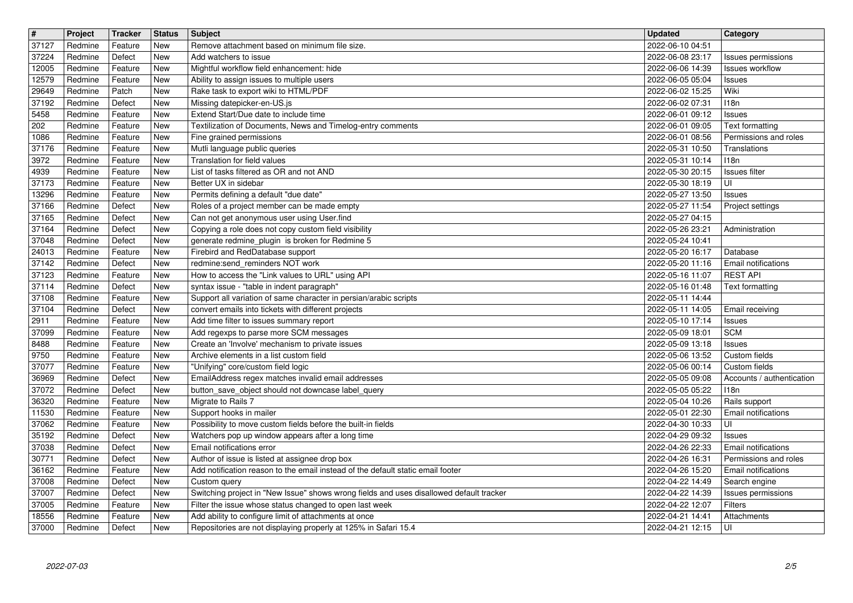| $\overline{\mathbf{H}}$ | Project            | <b>Tracker</b>     | <b>Status</b>     | Subject                                                                                                                                            | <b>Updated</b>                       | <b>Category</b>                       |
|-------------------------|--------------------|--------------------|-------------------|----------------------------------------------------------------------------------------------------------------------------------------------------|--------------------------------------|---------------------------------------|
| 37127                   | Redmine            | Feature            | New               | Remove attachment based on minimum file size.                                                                                                      | 2022-06-10 04:51                     |                                       |
| 37224<br>12005          | Redmine<br>Redmine | Defect<br>Feature  | New<br>New        | Add watchers to issue<br>Mightful workflow field enhancement: hide                                                                                 | 2022-06-08 23:17<br>2022-06-06 14:39 | Issues permissions<br>Issues workflow |
| 12579                   | Redmine            | Feature            | New               | Ability to assign issues to multiple users                                                                                                         | 2022-06-05 05:04                     | Issues                                |
| 29649                   | Redmine            | Patch              | New               | Rake task to export wiki to HTML/PDF                                                                                                               | 2022-06-02 15:25                     | Wiki                                  |
| 37192                   | Redmine            | Defect             | New               | Missing datepicker-en-US.js                                                                                                                        | 2022-06-02 07:31                     | 118n                                  |
| 5458<br>202             | Redmine<br>Redmine | Feature<br>Feature | New<br>New        | Extend Start/Due date to include time<br>Textilization of Documents, News and Timelog-entry comments                                               | 2022-06-01 09:12<br>2022-06-01 09:05 | Issues<br>Text formatting             |
| 1086                    | Redmine            | Feature            | New               | Fine grained permissions                                                                                                                           | 2022-06-01 08:56                     | Permissions and roles                 |
| 37176                   | Redmine            | Feature            | New               | Mutli language public queries                                                                                                                      | 2022-05-31 10:50                     | Translations                          |
| 3972                    | Redmine            | Feature            | New               | Translation for field values                                                                                                                       | 2022-05-31 10:14                     | 118n                                  |
| 4939<br>37173           | Redmine<br>Redmine | Feature<br>Feature | <b>New</b><br>New | List of tasks filtered as OR and not AND<br>Better UX in sidebar                                                                                   | 2022-05-30 20:15<br>2022-05-30 18:19 | Issues filter<br>l UI                 |
| 13296                   | Redmine            | Feature            | New               | Permits defining a default "due date"                                                                                                              | 2022-05-27 13:50                     | Issues                                |
| 37166                   | Redmine            | Defect             | New               | Roles of a project member can be made empty                                                                                                        | 2022-05-27 11:54                     | Project settings                      |
| 37165<br>37164          | Redmine<br>Redmine | Defect<br>Defect   | New<br>New        | Can not get anonymous user using User.find<br>Copying a role does not copy custom field visibility                                                 | 2022-05-27 04:15<br>2022-05-26 23:21 | Administration                        |
| 37048                   | Redmine            | Defect             | New               | generate redmine_plugin is broken for Redmine 5                                                                                                    | 2022-05-24 10:41                     |                                       |
| 24013                   | Redmine            | Feature            | New               | Firebird and RedDatabase support                                                                                                                   | 2022-05-20 16:17                     | Database                              |
| 37142                   | Redmine            | Defect             | New               | redmine:send_reminders NOT work                                                                                                                    | 2022-05-20 11:16                     | Email notifications                   |
| 37123<br>37114          | Redmine<br>Redmine | Feature<br>Defect  | New<br>New        | How to access the "Link values to URL" using API<br>syntax issue - "table in indent paragraph"                                                     | 2022-05-16 11:07<br>2022-05-16 01:48 | <b>REST API</b><br>Text formatting    |
| 37108                   | Redmine            | Feature            | New               | Support all variation of same character in persian/arabic scripts                                                                                  | 2022-05-11 14:44                     |                                       |
| 37104                   | Redmine            | Defect             | New               | convert emails into tickets with different projects                                                                                                | 2022-05-11 14:05                     | Email receiving                       |
| 2911<br>37099           | Redmine<br>Redmine | Feature<br>Feature | New<br><b>New</b> | Add time filter to issues summary report<br>Add regexps to parse more SCM messages                                                                 | 2022-05-10 17:14<br>2022-05-09 18:01 | Issues<br><b>SCM</b>                  |
| 8488                    | Redmine            | Feature            | New               | Create an 'Involve' mechanism to private issues                                                                                                    | 2022-05-09 13:18                     | Issues                                |
| 9750                    | Redmine            | Feature            | New               | Archive elements in a list custom field                                                                                                            | 2022-05-06 13:52                     | Custom fields                         |
| 37077                   | Redmine            | Feature            | New               | "Unifying" core/custom field logic                                                                                                                 | 2022-05-06 00:14                     | Custom fields                         |
| 36969<br>37072          | Redmine<br>Redmine | Defect<br>Defect   | New<br>New        | EmailAddress regex matches invalid email addresses<br>button_save_object should not downcase label_query                                           | 2022-05-05 09:08<br>2022-05-05 05:22 | Accounts / authentication<br>118n     |
| 36320                   | Redmine            | Feature            | New               | Migrate to Rails 7                                                                                                                                 | 2022-05-04 10:26                     | Rails support                         |
| 11530                   | Redmine            | Feature            | New               | Support hooks in mailer                                                                                                                            | 2022-05-01 22:30                     | Email notifications                   |
| 37062                   | Redmine            | Feature            | New               | Possibility to move custom fields before the built-in fields                                                                                       | 2022-04-30 10:33                     | UI                                    |
| 35192<br>37038          | Redmine<br>Redmine | Defect<br>Defect   | New<br>New        | Watchers pop up window appears after a long time<br>Email notifications error                                                                      | 2022-04-29 09:32<br>2022-04-26 22:33 | Issues<br>Email notifications         |
| 30771                   | Redmine            | Defect             | New               | Author of issue is listed at assignee drop box                                                                                                     | 2022-04-26 16:31                     | Permissions and roles                 |
| 36162                   | Redmine            | Feature            | New               | Add notification reason to the email instead of the default static email footer                                                                    | 2022-04-26 15:20                     | <b>Email notifications</b>            |
| 37008                   | Redmine            | Defect             | New               | Custom query                                                                                                                                       | 2022-04-22 14:49 Search engine       |                                       |
| 37007<br>37005          | Redmine<br>Redmine | Defect<br>Feature  | New<br>New        | Switching project in "New Issue" shows wrong fields and uses disallowed default tracker<br>Filter the issue whose status changed to open last week | 2022-04-22 14:39<br>2022-04-22 12:07 | Issues permissions<br><b>Filters</b>  |
| 18556                   | Redmine            | Feature            | New               | Add ability to configure limit of attachments at once                                                                                              | 2022-04-21 14:41                     | Attachments                           |
| 37000                   | Redmine            | Defect             | New               | Repositories are not displaying properly at 125% in Safari 15.4                                                                                    | 2022-04-21 12:15                     | l UI                                  |
|                         |                    |                    |                   |                                                                                                                                                    |                                      |                                       |
|                         |                    |                    |                   |                                                                                                                                                    |                                      |                                       |
|                         |                    |                    |                   |                                                                                                                                                    |                                      |                                       |
|                         |                    |                    |                   |                                                                                                                                                    |                                      |                                       |
|                         |                    |                    |                   |                                                                                                                                                    |                                      |                                       |
|                         |                    |                    |                   |                                                                                                                                                    |                                      |                                       |
|                         |                    |                    |                   |                                                                                                                                                    |                                      |                                       |
|                         |                    |                    |                   |                                                                                                                                                    |                                      |                                       |
|                         |                    |                    |                   |                                                                                                                                                    |                                      |                                       |
|                         |                    |                    |                   |                                                                                                                                                    |                                      |                                       |
|                         |                    |                    |                   |                                                                                                                                                    |                                      |                                       |
|                         |                    |                    |                   |                                                                                                                                                    |                                      |                                       |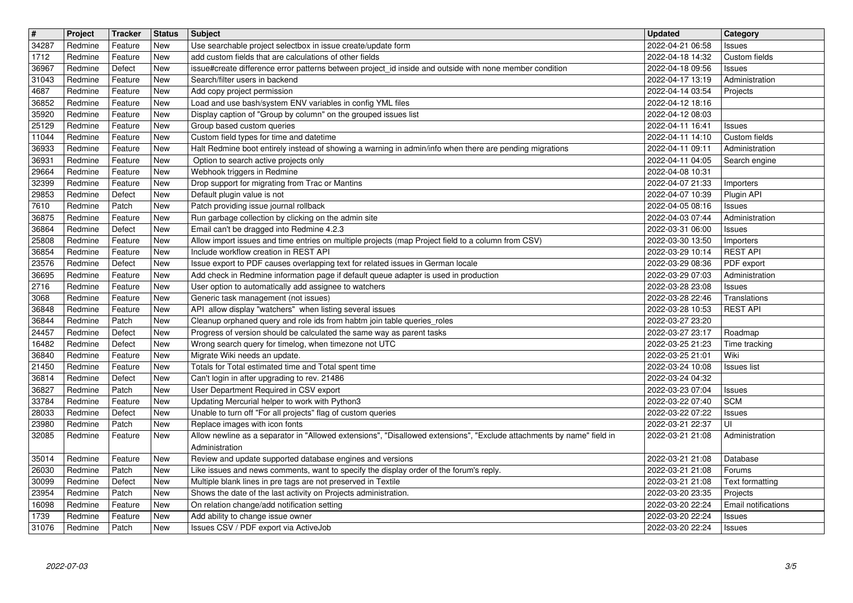| $\boxed{\texttt{#}}$ | Project                   | Tracker            | <b>Status</b>     | <b>Subject</b>                                                                                                                                                          | <b>Updated</b>                                         | <b>Category</b>              |
|----------------------|---------------------------|--------------------|-------------------|-------------------------------------------------------------------------------------------------------------------------------------------------------------------------|--------------------------------------------------------|------------------------------|
| 34287                | Redmine                   | Feature            | <b>New</b>        | Use searchable project selectbox in issue create/update form                                                                                                            | 2022-04-21 06:58                                       | Issues                       |
| 1712<br>36967        | Redmine<br>Redmine        | Feature<br>Defect  | <b>New</b><br>New | add custom fields that are calculations of other fields<br>issue#create difference error patterns between project_id inside and outside with none member condition      | 2022-04-18 14:32<br>2022-04-18 09:56                   | Custom fields<br>Issues      |
| 31043                | Redmine                   | Feature            | <b>New</b>        | Search/filter users in backend                                                                                                                                          | 2022-04-17 13:19                                       | Administration               |
| 4687                 | Redmine                   | Feature            | New               | Add copy project permission                                                                                                                                             | 2022-04-14 03:54                                       | Projects                     |
| 36852                | Redmine                   | Feature            | New               | Load and use bash/system ENV variables in config YML files                                                                                                              | 2022-04-12 18:16                                       |                              |
| 35920<br>25129       | Redmine<br>Redmine        | Feature<br>Feature | New<br>New        | Display caption of "Group by column" on the grouped issues list<br>Group based custom queries                                                                           | 2022-04-12 08:03<br>2022-04-11 16:41                   | Issues                       |
| 11044                | Redmine                   | Feature            | New               | Custom field types for time and datetime                                                                                                                                | 2022-04-11 14:10                                       | Custom fields                |
| 36933                | Redmine                   | Feature            | New               | Halt Redmine boot entirely instead of showing a warning in admin/info when there are pending migrations                                                                 | 2022-04-11 09:11                                       | Administration               |
| 36931<br>29664       | Redmine<br>Redmine        | Feature<br>Feature | New<br>New        | Option to search active projects only<br>Webhook triggers in Redmine                                                                                                    | 2022-04-11 04:05<br>2022-04-08 10:31                   | Search engine                |
| 32399                | Redmine                   | Feature            | <b>New</b>        | Drop support for migrating from Trac or Mantins                                                                                                                         | 2022-04-07 21:33                                       | Importers                    |
| 29853                | Redmine                   | Defect             | New               | Default plugin value is not                                                                                                                                             | 2022-04-07 10:39                                       | Plugin API                   |
| 7610                 | Redmine                   | Patch              | <b>New</b>        | Patch providing issue journal rollback                                                                                                                                  | 2022-04-05 08:16                                       | Issues                       |
| 36875<br>36864       | Redmine<br>Redmine        | Feature<br>Defect  | New<br>New        | Run garbage collection by clicking on the admin site<br>Email can't be dragged into Redmine 4.2.3                                                                       | 2022-04-03 07:44<br>2022-03-31 06:00                   | Administration<br>Issues     |
| 25808                | Redmine                   | Feature            | New               | Allow import issues and time entries on multiple projects (map Project field to a column from CSV)                                                                      | 2022-03-30 13:50                                       | Importers                    |
| 36854                | Redmine                   | Feature            | New               | Include workflow creation in REST API                                                                                                                                   | 2022-03-29 10:14                                       | <b>REST API</b>              |
| 23576<br>36695       | Redmine<br>Redmine        | Defect<br>Feature  | <b>New</b><br>New | Issue export to PDF causes overlapping text for related issues in German locale<br>Add check in Redmine information page if default queue adapter is used in production | 2022-03-29 08:36<br>2022-03-29 07:03                   | PDF export<br>Administration |
| 2716                 | Redmine                   | Feature            | New               | User option to automatically add assignee to watchers                                                                                                                   | 2022-03-28 23:08                                       | Issues                       |
| 3068                 | Redmine                   | Feature            | New               | Generic task management (not issues)                                                                                                                                    | 2022-03-28 22:46                                       | Translations                 |
| 36848                | Redmine<br>Redmine        | Feature<br>Patch   | New<br>New        | API allow display "watchers" when listing several issues<br>Cleanup orphaned query and role ids from habtm join table queries_roles                                     | 2022-03-28 10:53<br>2022-03-27 23:20                   | <b>REST API</b>              |
| 36844<br>24457       | Redmine                   | Defect             | New               | Progress of version should be calculated the same way as parent tasks                                                                                                   | 2022-03-27 23:17                                       | Roadmap                      |
| 16482                | Redmine                   | Defect             | <b>New</b>        | Wrong search query for timelog, when timezone not UTC                                                                                                                   | 2022-03-25 21:23                                       | Time tracking                |
| 36840                | Redmine                   | Feature            | New               | Migrate Wiki needs an update.                                                                                                                                           | 2022-03-25 21:01                                       | Wiki                         |
| 21450<br>36814       | Redmine<br>Redmine        | Feature<br>Defect  | <b>New</b><br>New | Totals for Total estimated time and Total spent time<br>Can't login in after upgrading to rev. 21486                                                                    | 2022-03-24 10:08<br>2022-03-24 04:32                   | Issues list                  |
| 36827                | Redmine                   | Patch              | <b>New</b>        | User Department Required in CSV export                                                                                                                                  | 2022-03-23 07:04                                       | Issues                       |
| 33784                | Redmine                   | Feature            | New               | Updating Mercurial helper to work with Python3                                                                                                                          | 2022-03-22 07:40                                       | <b>SCM</b>                   |
| 28033                | Redmine                   | Defect             | <b>New</b>        | Unable to turn off "For all projects" flag of custom queries                                                                                                            | 2022-03-22 07:22                                       | Issues                       |
| 23980<br>32085       | Redmine<br>Redmine        | Patch<br>Feature   | New<br>New        | Replace images with icon fonts<br>Allow newline as a separator in "Allowed extensions", "Disallowed extensions", "Exclude attachments by name" field in                 | 2022-03-21 22:37<br>2022-03-21 21:08                   | UI<br>Administration         |
|                      |                           |                    |                   | Administration                                                                                                                                                          |                                                        |                              |
| 35014                | Redmine                   | Feature            | New               | Review and update supported database engines and versions                                                                                                               | 2022-03-21 21:08                                       | Database                     |
| 26030<br>30099       | Redmine<br>Redmine Defect | Patch              | <b>New</b><br>New | Like issues and news comments, want to specify the display order of the forum's reply.<br>Multiple blank lines in pre tags are not preserved in Textile                 | 2022-03-21 21:08                                       | Forums                       |
| 23954                | Redmine                   | Patch              | <b>New</b>        | Shows the date of the last activity on Projects administration.                                                                                                         | 2022-03-21 21:08   Text formatting<br>2022-03-20 23:35 | Projects                     |
| 16098                | Redmine                   | Feature            | New               | On relation change/add notification setting                                                                                                                             | 2022-03-20 22:24                                       | Email notifications          |
| 1739<br>31076        | Redmine<br>Redmine        | Feature<br>Patch   | <b>New</b><br>New | Add ability to change issue owner<br>Issues CSV / PDF export via ActiveJob                                                                                              | 2022-03-20 22:24<br>2022-03-20 22:24                   | Issues<br>Issues             |
|                      |                           |                    |                   |                                                                                                                                                                         |                                                        |                              |
|                      |                           |                    |                   |                                                                                                                                                                         |                                                        |                              |
|                      |                           |                    |                   |                                                                                                                                                                         |                                                        |                              |
|                      |                           |                    |                   |                                                                                                                                                                         |                                                        |                              |
|                      |                           |                    |                   |                                                                                                                                                                         |                                                        |                              |
|                      |                           |                    |                   |                                                                                                                                                                         |                                                        |                              |
|                      |                           |                    |                   |                                                                                                                                                                         |                                                        |                              |
|                      |                           |                    |                   |                                                                                                                                                                         |                                                        |                              |
|                      |                           |                    |                   |                                                                                                                                                                         |                                                        |                              |
|                      |                           |                    |                   |                                                                                                                                                                         |                                                        |                              |
|                      |                           |                    |                   |                                                                                                                                                                         |                                                        |                              |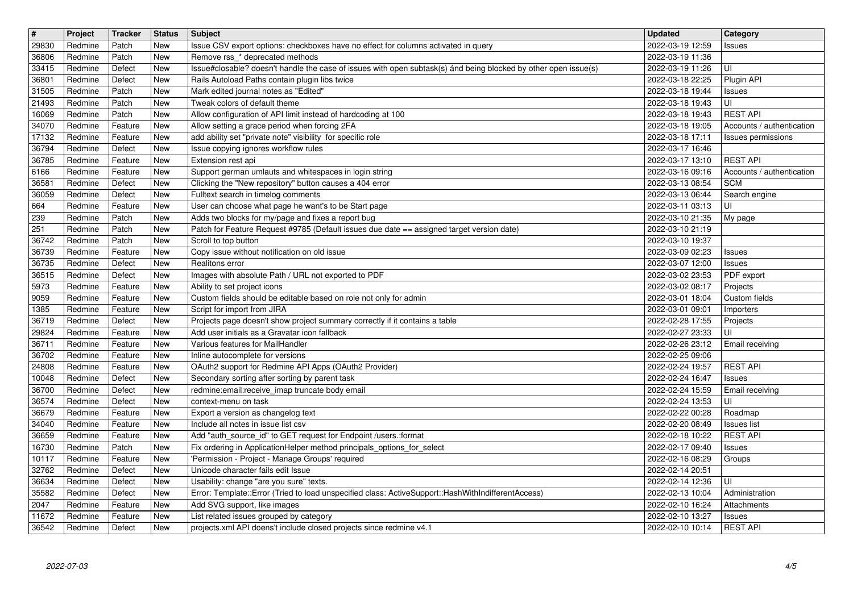| $\overline{\boldsymbol{H}}$<br>29830 | Project<br>Redmine | Tracker<br>Patch   | <b>Status</b><br>New | Subject<br>Issue CSV export options: checkboxes have no effect for columns activated in query                                                                     | <b>Updated</b><br>2022-03-19 12:59      | <b>Category</b><br>Issues               |
|--------------------------------------|--------------------|--------------------|----------------------|-------------------------------------------------------------------------------------------------------------------------------------------------------------------|-----------------------------------------|-----------------------------------------|
| 36806                                | Redmine            | Patch              | New                  | Remove rss_* deprecated methods                                                                                                                                   | 2022-03-19 11:36                        |                                         |
| 33415<br>36801                       | Redmine<br>Redmine | Defect<br>Defect   | New<br>New           | Issue#closable? doesn't handle the case of issues with open subtask(s) ánd being blocked by other open issue(s)<br>Rails Autoload Paths contain plugin libs twice | 2022-03-19 11:26<br>2022-03-18 22:25    | luı<br>Plugin API                       |
| 31505                                | Redmine            | Patch              | New                  | Mark edited journal notes as "Edited"                                                                                                                             | 2022-03-18 19:44                        | Issues                                  |
| 21493<br>16069                       | Redmine<br>Redmine | Patch<br>Patch     | New<br>New           | Tweak colors of default theme<br>Allow configuration of API limit instead of hardcoding at 100                                                                    | 2022-03-18 19:43<br>2022-03-18 19:43    | UI<br><b>REST API</b>                   |
| 34070                                | Redmine            | Feature            | New                  | Allow setting a grace period when forcing 2FA                                                                                                                     | 2022-03-18 19:05                        | Accounts / authentication               |
| 17132<br>36794                       | Redmine<br>Redmine | Feature<br>Defect  | New<br>New           | add ability set "private note" visibility for specific role<br>Issue copying ignores workflow rules                                                               | 2022-03-18 17:11<br>2022-03-17 16:46    | Issues permissions                      |
| 36785                                | Redmine            | Feature            | New                  | Extension rest api                                                                                                                                                | 2022-03-17 13:10                        | <b>REST API</b>                         |
| 6166<br>36581                        | Redmine<br>Redmine | Feature<br>Defect  | New<br>New           | Support german umlauts and whitespaces in login string<br>Clicking the "New repository" button causes a 404 error                                                 | 2022-03-16 09:16<br>2022-03-13 08:54    | Accounts / authentication<br><b>SCM</b> |
| 36059                                | Redmine            | Defect             | New                  | Fulltext search in timelog comments                                                                                                                               | 2022-03-13 06:44                        | Search engine                           |
| 664<br>239                           | Redmine<br>Redmine | Feature<br>Patch   | New<br>New           | User can choose what page he want's to be Start page<br>Adds two blocks for my/page and fixes a report bug                                                        | 2022-03-11 03:13<br>2022-03-10 21:35    | luı<br>My page                          |
| 251                                  | Redmine            | Patch              | New                  | Patch for Feature Request #9785 (Default issues due date == assigned target version date)                                                                         | 2022-03-10 21:19                        |                                         |
| 36742<br>36739                       | Redmine<br>Redmine | Patch<br>Feature   | New<br>New           | Scroll to top button<br>Copy issue without notification on old issue                                                                                              | 2022-03-10 19:37<br>2022-03-09 02:23    | Issues                                  |
| 36735                                | Redmine            | Defect             | New                  | Realitons error                                                                                                                                                   | 2022-03-07 12:00                        | Issues                                  |
| 36515<br>5973                        | Redmine<br>Redmine | Defect<br>Feature  | New<br>New           | Images with absolute Path / URL not exported to PDF<br>Ability to set project icons                                                                               | 2022-03-02 23:53<br>2022-03-02 08:17    | PDF export<br>Projects                  |
| 9059<br>1385                         | Redmine<br>Redmine | Feature<br>Feature | New<br>New           | Custom fields should be editable based on role not only for admin<br>Script for import from JIRA                                                                  | 2022-03-01 18:04<br>2022-03-01 09:01    | Custom fields<br>Importers              |
| 36719                                | Redmine            | Defect             | New                  | Projects page doesn't show project summary correctly if it contains a table                                                                                       | 2022-02-28 17:55                        | Projects                                |
| 29824<br>36711                       | Redmine<br>Redmine | Feature<br>Feature | New<br>New           | Add user initials as a Gravatar icon fallback<br>Various features for MailHandler                                                                                 | 2022-02-27 23:33<br>2022-02-26 23:12    | UI<br>Email receiving                   |
| 36702                                | Redmine            | Feature            | New                  | Inline autocomplete for versions                                                                                                                                  | 2022-02-25 09:06                        |                                         |
| 24808<br>10048                       | Redmine<br>Redmine | Feature<br>Defect  | New<br>New           | OAuth2 support for Redmine API Apps (OAuth2 Provider)<br>Secondary sorting after sorting by parent task                                                           | 2022-02-24 19:57<br>2022-02-24 16:47    | <b>REST API</b><br>Issues               |
| 36700                                | Redmine            | Defect             | New                  | redmine:email:receive_imap truncate body email                                                                                                                    | 2022-02-24 15:59                        | Email receiving                         |
| 36574<br>36679                       | Redmine<br>Redmine | Defect<br>Feature  | New<br>New           | context-menu on task<br>Export a version as changelog text                                                                                                        | 2022-02-24 13:53<br>2022-02-22 00:28    | l UI<br>Roadmap                         |
| 34040                                | Redmine            | Feature            | New                  | Include all notes in issue list csv                                                                                                                               | 2022-02-20 08:49                        | Issues list                             |
| 36659<br>16730                       | Redmine<br>Redmine | Feature<br>Patch   | New<br>New           | Add "auth_source_id" to GET request for Endpoint /users.:format<br>Fix ordering in ApplicationHelper method principals_options_for_select                         | 2022-02-18 10:22<br>2022-02-17 09:40    | <b>REST API</b><br>Issues               |
| 10117                                | Redmine            | Feature            | New                  | 'Permission - Project - Manage Groups' required                                                                                                                   | 2022-02-16 08:29                        | Groups                                  |
| 32762<br>36634                       | Redmine<br>Redmine | Defect<br>Defect   | New<br>New           | Unicode character fails edit Issue<br>Usability: change "are you sure" texts.                                                                                     | 2022-02-14 20:51<br>2022-02-14 12:36 UI |                                         |
| 35582                                | Redmine            | Defect             | New                  | Error: Template::Error (Tried to load unspecified class: ActiveSupport::HashWithIndifferentAccess)                                                                | 2022-02-13 10:04                        | Administration                          |
| 2047<br>11672                        | Redmine<br>Redmine | Feature<br>Feature | New<br>New           | Add SVG support, like images<br>List related issues grouped by category                                                                                           | 2022-02-10 16:24<br>2022-02-10 13:27    | Attachments<br>Issues                   |
| 36542                                | Redmine            | Defect             | New                  | projects.xml API doens't include closed projects since redmine v4.1                                                                                               | 2022-02-10 10:14                        | <b>REST API</b>                         |
|                                      |                    |                    |                      |                                                                                                                                                                   |                                         |                                         |
|                                      |                    |                    |                      |                                                                                                                                                                   |                                         |                                         |
|                                      |                    |                    |                      |                                                                                                                                                                   |                                         |                                         |
|                                      |                    |                    |                      |                                                                                                                                                                   |                                         |                                         |
|                                      |                    |                    |                      |                                                                                                                                                                   |                                         |                                         |
|                                      |                    |                    |                      |                                                                                                                                                                   |                                         |                                         |
|                                      |                    |                    |                      |                                                                                                                                                                   |                                         |                                         |
|                                      |                    |                    |                      |                                                                                                                                                                   |                                         |                                         |
|                                      |                    |                    |                      |                                                                                                                                                                   |                                         |                                         |
|                                      |                    |                    |                      |                                                                                                                                                                   |                                         |                                         |
|                                      |                    |                    |                      |                                                                                                                                                                   |                                         |                                         |
|                                      |                    |                    |                      |                                                                                                                                                                   |                                         |                                         |
|                                      |                    |                    |                      |                                                                                                                                                                   |                                         |                                         |
|                                      |                    |                    |                      |                                                                                                                                                                   |                                         |                                         |
|                                      |                    |                    |                      |                                                                                                                                                                   |                                         |                                         |
|                                      |                    |                    |                      |                                                                                                                                                                   |                                         |                                         |
|                                      |                    |                    |                      |                                                                                                                                                                   |                                         |                                         |
|                                      |                    |                    |                      |                                                                                                                                                                   |                                         |                                         |
|                                      |                    |                    |                      |                                                                                                                                                                   |                                         |                                         |
|                                      |                    |                    |                      |                                                                                                                                                                   |                                         |                                         |
|                                      |                    |                    |                      |                                                                                                                                                                   |                                         |                                         |
|                                      |                    |                    |                      |                                                                                                                                                                   |                                         |                                         |
|                                      |                    |                    |                      |                                                                                                                                                                   |                                         |                                         |
|                                      |                    |                    |                      |                                                                                                                                                                   |                                         |                                         |
|                                      |                    |                    |                      |                                                                                                                                                                   |                                         |                                         |
|                                      |                    |                    |                      |                                                                                                                                                                   |                                         |                                         |
|                                      |                    |                    |                      |                                                                                                                                                                   |                                         |                                         |
|                                      |                    |                    |                      |                                                                                                                                                                   |                                         |                                         |
|                                      |                    |                    |                      |                                                                                                                                                                   |                                         |                                         |
|                                      |                    |                    |                      |                                                                                                                                                                   |                                         |                                         |
|                                      |                    |                    |                      |                                                                                                                                                                   |                                         |                                         |
|                                      |                    |                    |                      |                                                                                                                                                                   |                                         |                                         |
|                                      |                    |                    |                      |                                                                                                                                                                   |                                         |                                         |